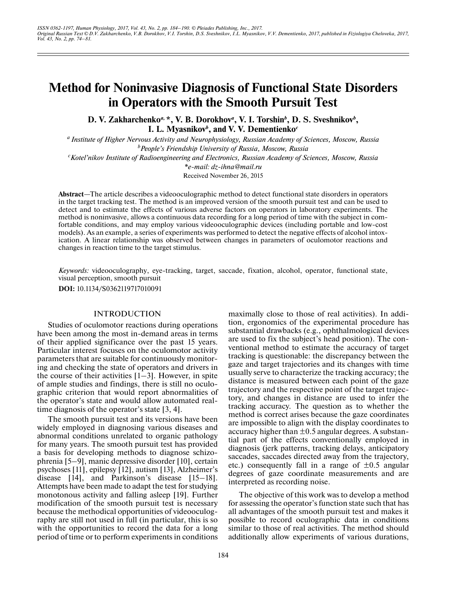# **Method for Noninvasive Diagnosis of Functional State Disorders in Operators with the Smooth Pursuit Test**

D. V. Zakharchenko<sup>*a*, \*</sup>, V. B. Dorokhov<sup>*a*</sup>, V. I. Torshin<sup>*b*</sup>, D. S. Sveshnikov<sup>*b*</sup>, **I. L. Myasnikov***<sup>b</sup>* **, and V. V. Dementienko***<sup>c</sup>*

*a Institute of Higher Nervous Activity and Neurophysiology, Russian Academy of Sciences, Moscow, Russia b People's Friendship University of Russia, Moscow, Russia*

*c Kotel'nikov Institute of Radioengineering and Electronics, Russian Academy of Sciences, Moscow, Russia*

*\*e-mail: dz-ihna@mail.ru*

Received November 26, 2015

**Abstract**—The article describes a videooculographic method to detect functional state disorders in operators in the target tracking test. The method is an improved version of the smooth pursuit test and can be used to detect and to estimate the effects of various adverse factors on operators in laboratory experiments. The method is noninvasive, allows a continuous data recording for a long period of time with the subject in comfortable conditions, and may employ various videooculographic devices (including portable and low-cost models). As an example, a series of experiments was performed to detect the negative effects of alcohol intoxication. A linear relationship was observed between changes in parameters of oculomotor reactions and changes in reaction time to the target stimulus.

*Keywords:* videooculography, eye-tracking, target, saccade, fixation, alcohol, operator, functional state, visual perception, smooth pursuit

**DOI:** 10.1134/S0362119717010091

# INTRODUCTION

Studies of oculomotor reactions during operations have been among the most in-demand areas in terms of their applied significance over the past 15 years. Particular interest focuses on the oculomotor activity parameters that are suitable for continuously monitoring and checking the state of operators and drivers in the course of their activities  $[1-3]$ . However, in spite of ample studies and findings, there is still no oculographic criterion that would report abnormalities of the operator's state and would allow automated realtime diagnosis of the operator's state [3, 4].

The smooth pursuit test and its versions have been widely employed in diagnosing various diseases and abnormal conditions unrelated to organic pathology for many years. The smooth pursuit test has provided a basis for developing methods to diagnose schizophrenia [5–9], manic depressive disorder [10], certain psychoses [11], epilepsy [12], autism [13], Alzheimer's disease [14], and Parkinson's disease [15–18]. Attempts have been made to adapt the test for studying monotonous activity and falling asleep [19]. Further modification of the smooth pursuit test is necessary because the methodical opportunities of videooculography are still not used in full (in particular, this is so with the opportunities to record the data for a long period of time or to perform experiments in conditions maximally close to those of real activities). In addition, ergonomics of the experimental procedure has substantial drawbacks (e.g., ophthalmological devices are used to fix the subject's head position). The conventional method to estimate the accuracy of target tracking is questionable: the discrepancy between the gaze and target trajectories and its changes with time usually serve to characterize the tracking accuracy; the distance is measured between each point of the gaze trajectory and the respective point of the target trajectory, and changes in distance are used to infer the tracking accuracy. The question as to whether the method is correct arises because the gaze coordinates are impossible to align with the display coordinates to accuracy higher than  $\pm 0.5$  angular degrees. A substantial part of the effects conventionally employed in diagnosis (jerk patterns, tracking delays, anticipatory saccades, saccades directed away from the trajectory, etc.) consequently fall in a range of  $\pm 0.5$  angular degrees of gaze coordinate measurements and are interpreted as recording noise.

The objective of this work was to develop a method for assessing the operator's function state such that has all advantages of the smooth pursuit test and makes it possible to record oculographic data in conditions similar to those of real activities. The method should additionally allow experiments of various durations,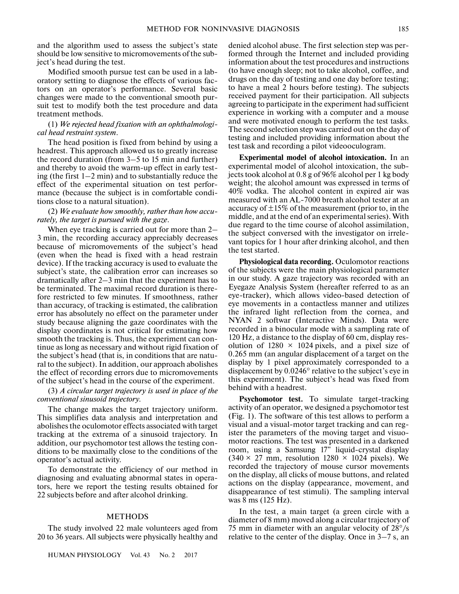and the algorithm used to assess the subject's state should be low sensitive to micromovements of the subject's head during the test.

Modified smooth pursue test can be used in a laboratory setting to diagnose the effects of various factors on an operator's performance. Several basic changes were made to the conventional smooth pursuit test to modify both the test procedure and data treatment methods.

# (1) *We rejected head fixation with an ophthalmological head restraint system*.

The head position is fixed from behind by using a headrest. This approach allowed us to greatly increase the record duration (from 3–5 to 15 min and further) and thereby to avoid the warm-up effect in early testing (the first  $1-2$  min) and to substantially reduce the effect of the experimental situation on test performance (because the subject is in comfortable conditions close to a natural situation).

## (2) *We evaluate how smoothly, rather than how accurately, the target is pursued with the gaze*.

When eye tracking is carried out for more than 2– 3 min, the recording accuracy appreciably decreases because of micromovements of the subject's head (even when the head is fixed with a head restrain device). If the tracking accuracy is used to evaluate the subject's state, the calibration error can increases so dramatically after 2–3 min that the experiment has to be terminated. The maximal record duration is therefore restricted to few minutes. If smoothness, rather than accuracy, of tracking is estimated, the calibration error has absolutely no effect on the parameter under study because aligning the gaze coordinates with the display coordinates is not critical for estimating how smooth the tracking is. Thus, the experiment can continue as long as necessary and without rigid fixation of the subject's head (that is, in conditions that are natural to the subject). In addition, our approach abolishes the effect of recording errors due to micromovements of the subject's head in the course of the experiment.

# (3) *A circular target trajectory is used in place of the conventional sinusoid trajectory*.

The change makes the target trajectory uniform. This simplifies data analysis and interpretation and abolishes the oculomotor effects associated with target tracking at the extrema of a sinusoid trajectory. In addition, our psychomotor test allows the testing conditions to be maximally close to the conditions of the operator's actual activity.

To demonstrate the efficiency of our method in diagnosing and evaluating abnormal states in operators, here we report the testing results obtained for 22 subjects before and after alcohol drinking.

# METHODS

The study involved 22 male volunteers aged from 20 to 36 years. All subjects were physically healthy and

HUMAN PHYSIOLOGY Vol. 43 No. 2 2017

denied alcohol abuse. The first selection step was performed through the Internet and included providing information about the test procedures and instructions (to have enough sleep; not to take alcohol, coffee, and drugs on the day of testing and one day before testing; to have a meal 2 hours before testing). The subjects received payment for their participation. All subjects agreeing to participate in the experiment had sufficient experience in working with a computer and a mouse and were motivated enough to perform the test tasks. The second selection step was carried out on the day of testing and included providing information about the test task and recording a pilot videooculogram.

**Experimental model of alcohol intoxication.** In an experimental model of alcohol intoxication, the subjects took alcohol at 0.8 g of 96% alcohol per 1 kg body weight; the alcohol amount was expressed in terms of 40% vodka. The alcohol content in expired air was measured with an AL-7000 breath alcohol tester at an accuracy of  $\pm 15\%$  of the measurement (prior to, in the middle, and at the end of an experimental series). With due regard to the time course of alcohol assimilation, the subject conversed with the investigator on irrelevant topics for 1 hour after drinking alcohol, and then the test started.

**Physiological data recording.** Oculomotor reactions of the subjects were the main physiological parameter in our study. A gaze trajectory was recorded with an Eyegaze Analysis System (hereafter referred to as an eye-tracker), which allows video-based detection of eye movements in a contactless manner and utilizes the infrared light reflection from the cornea, and NYAN 2 softwar (Interactive Minds). Data were recorded in a binocular mode with a sampling rate of 120 Hz, a distance to the display of 60 cm, display resolution of  $1280 \times 1024$  pixels, and a pixel size of 0.265 mm (an angular displacement of a target on the display by 1 pixel approximately corresponded to a displacement by 0.0246° relative to the subject's eye in this experiment). The subject's head was fixed from behind with a headrest.

**Psychomotor test.** To simulate target-tracking activity of an operator, we designed a psychomotor test (Fig. 1). The software of this test allows to perform a visual and a visual-motor target tracking and can register the parameters of the moving target and visuomotor reactions. The test was presented in a darkened room, using a Samsung 17'' liquid-crystal display  $(340 \times 27$  mm, resolution  $1280 \times 1024$  pixels). We recorded the trajectory of mouse cursor movements on the display, all clicks of mouse buttons, and related actions on the display (appearance, movement, and disappearance of test stimuli). The sampling interval was 8 ms (125 Hz).

In the test, a main target (a green circle with a diameter of 8 mm) moved along a circular trajectory of 75 mm in diameter with an angular velocity of 28°/s relative to the center of the display. Once in 3–7 s, an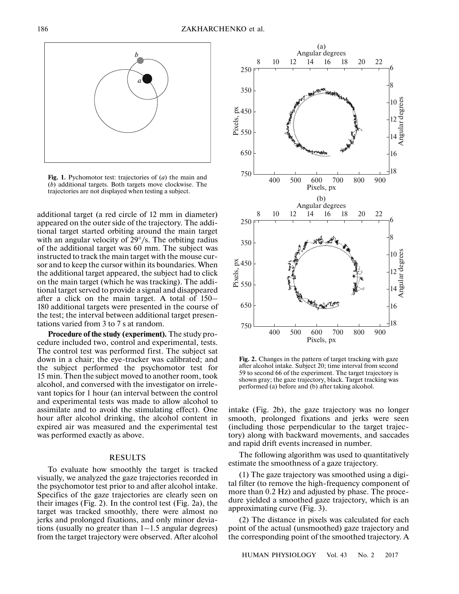

**Fig. 1.** Pychomotor test: trajectories of (*a*) the main and (*b*) additional targets. Both targets move clockwise. The trajectories are not displayed when testing a subject.

additional target (a red circle of 12 mm in diameter) appeared on the outer side of the trajectory. The additional target started orbiting around the main target with an angular velocity of 29°/s. The orbiting radius of the additional target was 60 mm. The subject was instructed to track the main target with the mouse cursor and to keep the cursor within its boundaries. When the additional target appeared, the subject had to click on the main target (which he was tracking). The additional target served to provide a signal and disappeared after a click on the main target. A total of 150– 180 additional targets were presented in the course of the test; the interval between additional target presentations varied from 3 to 7 s at random.

**Procedure of the study (experiment).** The study procedure included two, control and experimental, tests. The control test was performed first. The subject sat down in a chair; the eye-tracker was calibrated; and the subject performed the psychomotor test for 15 min. Then the subject moved to another room, took alcohol, and conversed with the investigator on irrelevant topics for 1 hour (an interval between the control and experimental tests was made to allow alcohol to assimilate and to avoid the stimulating effect). One hour after alcohol drinking, the alcohol content in expired air was measured and the experimental test was performed exactly as above.

# RESULTS

To evaluate how smoothly the target is tracked visually, we analyzed the gaze trajectories recorded in the psychomotor test prior to and after alcohol intake. Specifics of the gaze trajectories are clearly seen on their images (Fig. 2). In the control test (Fig. 2a), the target was tracked smoothly, there were almost no jerks and prolonged fixations, and only minor deviations (usually no greater than  $1-1.5$  angular degrees) from the target trajectory were observed. After alcohol



**Fig. 2.** Changes in the pattern of target tracking with gaze after alcohol intake. Subject 20; time interval from second 59 to second 66 of the experiment. The target trajectory is shown gray; the gaze trajectory, black. Target tracking was performed (a) before and (b) after taking alcohol.

intake (Fig. 2b), the gaze trajectory was no longer smooth, prolonged fixations and jerks were seen (including those perpendicular to the target trajectory) along with backward movements, and saccades and rapid drift events increased in number.

The following algorithm was used to quantitatively estimate the smoothness of a gaze trajectory.

(1) The gaze trajectory was smoothed using a digital filter (to remove the high-frequency component of more than 0.2 Hz) and adjusted by phase. The procedure yielded a smoothed gaze trajectory, which is an approximating curve (Fig. 3).

(2) The distance in pixels was calculated for each point of the actual (unsmoothed) gaze trajectory and the corresponding point of the smoothed trajectory. A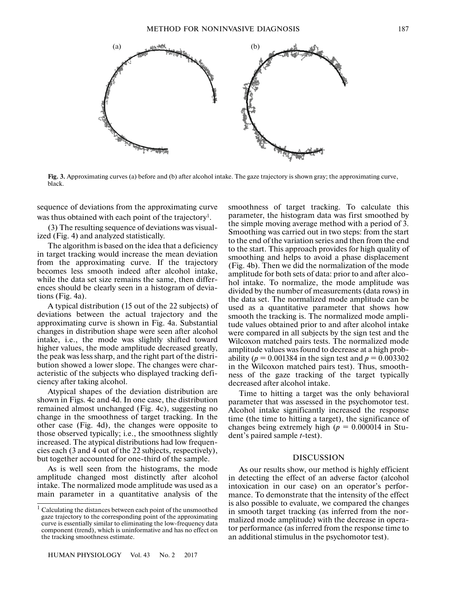

Fig. 3. Approximating curves (a) before and (b) after alcohol intake. The gaze trajectory is shown gray; the approximating curve, black.

sequence of deviations from the approximating curve was thus obtained with each point of the trajectory<sup>1</sup>.

(3) The resulting sequence of deviations was visualized (Fig. 4) and analyzed statistically.

The algorithm is based on the idea that a deficiency in target tracking would increase the mean deviation from the approximating curve. If the trajectory becomes less smooth indeed after alcohol intake, while the data set size remains the same, then differences should be clearly seen in a histogram of deviations (Fig. 4a).

A typical distribution (15 out of the 22 subjects) of deviations between the actual trajectory and the approximating curve is shown in Fig. 4a. Substantial changes in distribution shape were seen after alcohol intake, i.e., the mode was slightly shifted toward higher values, the mode amplitude decreased greatly, the peak was less sharp, and the right part of the distribution showed a lower slope. The changes were characteristic of the subjects who displayed tracking deficiency after taking alcohol.

Atypical shapes of the deviation distribution are shown in Figs. 4c and 4d. In one case, the distribution remained almost unchanged (Fig. 4c), suggesting no change in the smoothness of target tracking. In the other case (Fig. 4d), the changes were opposite to those observed typically; i.e., the smoothness slightly increased. The atypical distributions had low frequencies each (3 and 4 out of the 22 subjects, respectively), but together accounted for one-third of the sample.

As is well seen from the histograms, the mode amplitude changed most distinctly after alcohol intake. The normalized mode amplitude was used as a main parameter in a quantitative analysis of the smoothness of target tracking. To calculate this parameter, the histogram data was first smoothed by the simple moving average method with a period of 3. Smoothing was carried out in two steps: from the start to the end of the variation series and then from the end to the start. This approach provides for high quality of smoothing and helps to avoid a phase displacement (Fig. 4b). Then we did the normalization of the mode amplitude for both sets of data: prior to and after alcohol intake. To normalize, the mode amplitude was divided by the number of measurements (data rows) in the data set. The normalized mode amplitude can be used as a quantitative parameter that shows how smooth the tracking is. The normalized mode amplitude values obtained prior to and after alcohol intake were compared in all subjects by the sign test and the Wilcoxon matched pairs tests. The normalized mode amplitude values was found to decrease at a high probability ( $p = 0.001384$  in the sign test and  $p = 0.003302$ in the Wilcoxon matched pairs test). Thus, smoothness of the gaze tracking of the target typically decreased after alcohol intake.

Time to hitting a target was the only behavioral parameter that was assessed in the psychomotor test. Alcohol intake significantly increased the response time (the time to hitting a target), the significance of changes being extremely high ( $p = 0.000014$  in Student's paired sample *t*-test).

# DISCUSSION

As our results show, our method is highly efficient in detecting the effect of an adverse factor (alcohol intoxication in our case) on an operator's performance. To demonstrate that the intensity of the effect is also possible to evaluate, we compared the changes in smooth target tracking (as inferred from the normalized mode amplitude) with the decrease in operator performance (as inferred from the response time to an additional stimulus in the psychomotor test).

 $<sup>1</sup>$  Calculating the distances between each point of the unsmoothed</sup> gaze trajectory to the corresponding point of the approximating curve is essentially similar to eliminating the low-frequency data component (trend), which is uninformative and has no effect on the tracking smoothness estimate.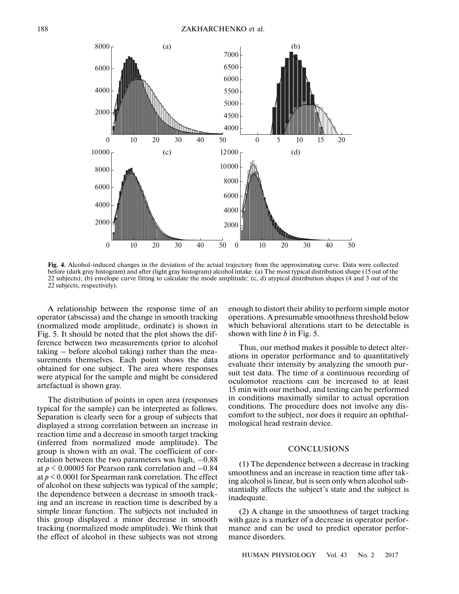

**Fig. 4.** Alcohol-induced changes in the deviation of the actual trajectory from the approximating curve. Data were collected before (dark gray histogram) and after (light gray histogram) alcohol intake. (a) The most typical distribution shape (15 out of the 22 subjects); (b) envelope curve fitting to calculate the mode amplitude; (c, d) atypical distribution shapes (4 and 3 out of the 22 subjects, respectively).

A relationship between the response time of an operator (abscissa) and the change in smooth tracking (normalized mode amplitude, ordinate) is shown in Fig. 5. It should be noted that the plot shows the difference between two measurements (prior to alcohol taking – before alcohol taking) rather than the measurements themselves. Each point shows the data obtained for one subject. The area where responses were atypical for the sample and might be considered artefactual is shown gray.

The distribution of points in open area (responses typical for the sample) can be interpreted as follows. Separation is clearly seen for a group of subjects that displayed a strong correlation between an increase in reaction time and a decrease in smooth target tracking (inferred from normalized mode amplitude). The group is shown with an oval. The coefficient of correlation between the two parameters was high,  $-0.88$ at *р* < 0.00005 for Pearson rank correlation and –0.84 at *p* < 0.0001 for Spearman rank correlation. The effect of alcohol on these subjects was typical of the sample; the dependence between a decrease in smooth tracking and an increase in reaction time is described by a simple linear function. The subjects not included in this group displayed a minor decrease in smooth tracking (normalized mode amplitude). We think that the effect of alcohol in these subjects was not strong enough to distort their ability to perform simple motor operations. A presumable smoothness threshold below which behavioral alterations start to be detectable is shown with line *b* in Fig. 5.

Thus, our method makes it possible to detect alterations in operator performance and to quantitatively evaluate their intensity by analyzing the smooth pursuit test data. The time of a continuous recording of oculomotor reactions can be increased to at least 15 min with our method, and testing can be performed in conditions maximally similar to actual operation conditions. The procedure does not involve any discomfort to the subject, nor does it require an ophthalmological head restrain device.

## **CONCLUSIONS**

(1) The dependence between a decrease in tracking smoothness and an increase in reaction time after taking alcohol is linear, but is seen only when alcohol substantially affects the subject's state and the subject is inadequate.

(2) A change in the smoothness of target tracking with gaze is a marker of a decrease in operator performance and can be used to predict operator performance disorders.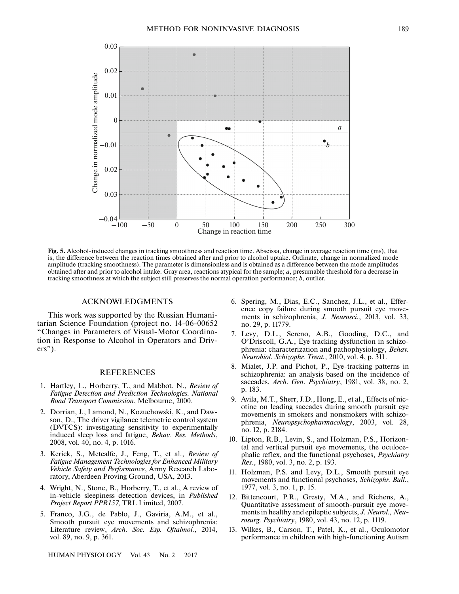

**Fig. 5.** Alcohol-induced changes in tracking smoothness and reaction time. Abscissa, change in average reaction time (ms), that is, the difference between the reaction times obtained after and prior to alcohol uptake. Ordinate, change in normalized mode amplitude (tracking smoothness). The parameter is dimensionless and is obtained as a difference between the mode amplitudes obtained after and prior to alcohol intake. Gray area, reactions atypical for the sample; *a*, presumable threshold for a decrease in tracking smoothness at which the subject still preserves the normal operation performance; *b*, outlier.

#### ACKNOWLEDGMENTS

This work was supported by the Russian Humanitarian Science Foundation (project no. 14-06-00652 "Changes in Parameters of Visual-Motor Coordination in Response to Alcohol in Operators and Drivers").

## REFERENCES

- 1. Hartley, L., Horberry, T., and Mabbot, N., *Review of Fatigue Detection and Prediction Technologies. National Road Transport Commission*, Melbourne, 2000.
- 2. Dorrian, J., Lamond, N., Kozuchowski, K., and Dawson, D., The driver vigilance telemetric control system (DVTCS): investigating sensitivity to experimentally induced sleep loss and fatigue, *Behav. Res. Methods*, 2008, vol. 40, no. 4, p. 1016.
- 3. Kerick, S., Metcalfe, J., Feng, T., et al., *Review of Fatigue Management Technologies for Enhanced Military Vehicle Safety and Performance*, Army Research Laboratory, Aberdeen Proving Ground, USA, 2013.
- 4. Wright, N., Stone, B., Horberry, T., et al., A review of in-vehicle sleepiness detection devices, in *Published Project Report PPR157*, TRL Limited, 2007.
- 5. Franco, J.G., de Pablo, J., Gaviria, A.M., et al., Smooth pursuit eye movements and schizophrenia: Literature review, *Arch. Soc. Esp. Oftalmol.*, 2014, vol. 89, no. 9, p. 361.

HUMAN PHYSIOLOGY Vol. 43 No. 2 2017

- 6. Spering, M., Dias, E.C., Sanchez, J.L., et al., Efference copy failure during smooth pursuit eye movements in schizophrenia, *J. Neurosci.*, 2013, vol. 33, no. 29, p. 11779.
- 7. Levy, D.L., Sereno, A.B., Gooding, D.C., and O'Driscoll, G.A., Eye tracking dysfunction in schizophrenia: characterization and pathophysiology, *Behav. Neurobiol. Schizophr. Treat.*, 2010, vol. 4, p. 311.
- 8. Mialet, J.P. and Pichot, P., Eye-tracking patterns in schizophrenia: an analysis based on the incidence of saccades, *Arch. Gen. Psychiatry*, 1981, vol. 38, no. 2, p. 183.
- 9. Avila, M.T., Sherr, J.D., Hong, E., et al., Effects of nicotine on leading saccades during smooth pursuit eye movements in smokers and nonsmokers with schizophrenia, *Neuropsychopharmacology*, 2003, vol. 28, no. 12, p. 2184.
- 10. Lipton, R.B., Levin, S., and Holzman, P.S., Horizontal and vertical pursuit eye movements, the oculocephalic reflex, and the functional psychoses, *Psychiatry Res.*, 1980, vol. 3, no. 2, p. 193.
- 11. Holzman, P.S. and Levy, D.L., Smooth pursuit eye movements and functional psychoses, *Schizophr. Bull.*, 1977, vol. 3, no. 1, p. 15.
- 12. Bittencourt, P.R., Gresty, M.A., and Richens, A., Quantitative assessment of smooth-pursuit eye movements in healthy and epileptic subjects, *J. Neurol., Neurosurg. Psychiatry*, 1980, vol. 43, no. 12, p. 1119.
- 13. Wilkes, B., Carson, T., Patel, K., et al., Oculomotor performance in children with high-functioning Autism